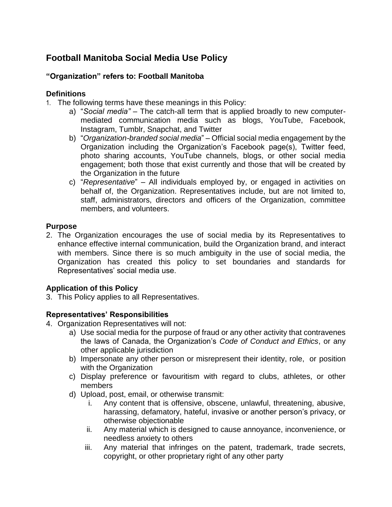# **Football Manitoba Social Media Use Policy**

## **"Organization" refers to: Football Manitoba**

#### **Definitions**

- 1. The following terms have these meanings in this Policy:
	- a) "*Social media"* The catch-all term that is applied broadly to new computermediated communication media such as blogs, YouTube, Facebook, Instagram, Tumblr, Snapchat, and Twitter
	- b) "*Organization-branded social media*" Official social media engagement by the Organization including the Organization's Facebook page(s), Twitter feed, photo sharing accounts, YouTube channels, blogs, or other social media engagement; both those that exist currently and those that will be created by the Organization in the future
	- c) "*Representative*" All individuals employed by, or engaged in activities on behalf of, the Organization. Representatives include, but are not limited to, staff, administrators, directors and officers of the Organization, committee members, and volunteers.

#### **Purpose**

2. The Organization encourages the use of social media by its Representatives to enhance effective internal communication, build the Organization brand, and interact with members. Since there is so much ambiguity in the use of social media, the Organization has created this policy to set boundaries and standards for Representatives' social media use.

## **Application of this Policy**

3. This Policy applies to all Representatives.

#### **Representatives' Responsibilities**

- 4. Organization Representatives will not:
	- a) Use social media for the purpose of fraud or any other activity that contravenes the laws of Canada, the Organization's *Code of Conduct and Ethics*, or any other applicable jurisdiction
	- b) Impersonate any other person or misrepresent their identity, role, or position with the Organization
	- c) Display preference or favouritism with regard to clubs, athletes, or other members
	- d) Upload, post, email, or otherwise transmit:
		- i. Any content that is offensive, obscene, unlawful, threatening, abusive, harassing, defamatory, hateful, invasive or another person's privacy, or otherwise objectionable
		- ii. Any material which is designed to cause annoyance, inconvenience, or needless anxiety to others
		- iii. Any material that infringes on the patent, trademark, trade secrets, copyright, or other proprietary right of any other party